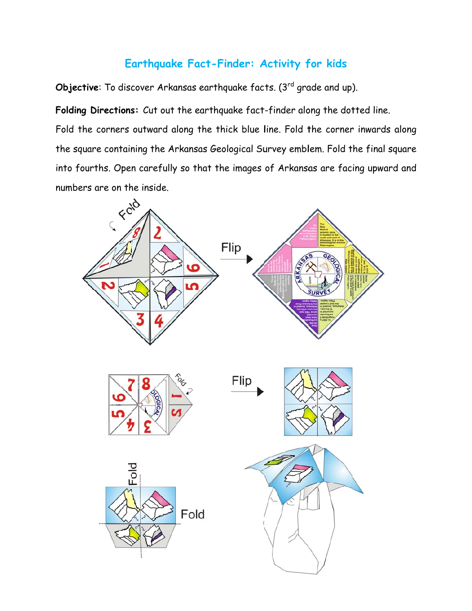## Earthquake Fact-Finder: Activity for kids

Objective: To discover Arkansas earthquake facts. (3rd grade and up).

Folding Directions: Cut out the earthquake fact-finder along the dotted line. Fold the corners outward along the thick blue line. Fold the corner inwards along the square containing the Arkansas Geological Survey emblem. Fold the final square into fourths. Open carefully so that the images of Arkansas are facing upward and numbers are on the inside.